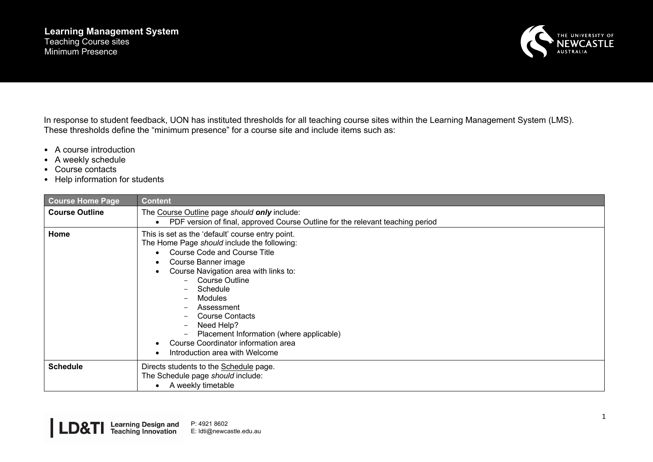## **Learning Management System** Teaching Course sites Minimum Presence



In response to student feedback, UON has instituted thresholds for all teaching course sites within the Learning Management System (LMS). These thresholds define the "minimum presence" for a course site and include items such as:

- A course introduction
- A weekly schedule
- Course contacts
- Help information for students

| <b>Course Home Page</b> | <b>Content</b>                                                                                                                                                                                                                                                                                                                                                                                                             |
|-------------------------|----------------------------------------------------------------------------------------------------------------------------------------------------------------------------------------------------------------------------------------------------------------------------------------------------------------------------------------------------------------------------------------------------------------------------|
| <b>Course Outline</b>   | The Course Outline page should only include:<br>PDF version of final, approved Course Outline for the relevant teaching period                                                                                                                                                                                                                                                                                             |
| Home                    | This is set as the 'default' course entry point.<br>The Home Page should include the following:<br><b>Course Code and Course Title</b><br>Course Banner image<br>Course Navigation area with links to:<br>Course Outline<br>Schedule<br>Modules<br>Assessment<br><b>Course Contacts</b><br>Need Help?<br>Placement Information (where applicable)<br>Course Coordinator information area<br>Introduction area with Welcome |
| <b>Schedule</b>         | Directs students to the Schedule page.<br>The Schedule page should include:<br>A weekly timetable                                                                                                                                                                                                                                                                                                                          |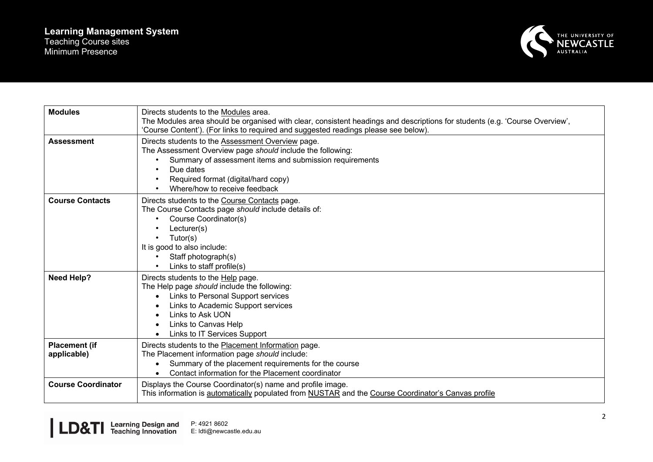

| <b>Modules</b>                      | Directs students to the Modules area.<br>The Modules area should be organised with clear, consistent headings and descriptions for students (e.g. 'Course Overview',<br>'Course Content'). (For links to required and suggested readings please see below).     |
|-------------------------------------|-----------------------------------------------------------------------------------------------------------------------------------------------------------------------------------------------------------------------------------------------------------------|
| <b>Assessment</b>                   | Directs students to the Assessment Overview page.<br>The Assessment Overview page should include the following:<br>Summary of assessment items and submission requirements<br>Due dates<br>Required format (digital/hard copy)<br>Where/how to receive feedback |
| <b>Course Contacts</b>              | Directs students to the Course Contacts page.<br>The Course Contacts page should include details of:<br>Course Coordinator(s)<br>Lecturer(s)<br>Tutor(s)<br>It is good to also include:<br>Staff photograph(s)<br>Links to staff profile(s)                     |
| <b>Need Help?</b>                   | Directs students to the Help page.<br>The Help page should include the following:<br>Links to Personal Support services<br>Links to Academic Support services<br>Links to Ask UON<br>Links to Canvas Help<br>Links to IT Services Support                       |
| <b>Placement (if</b><br>applicable) | Directs students to the Placement Information page.<br>The Placement information page should include:<br>Summary of the placement requirements for the course<br>Contact information for the Placement coordinator                                              |
| <b>Course Coordinator</b>           | Displays the Course Coordinator(s) name and profile image.<br>This information is automatically populated from NUSTAR and the Course Coordinator's Canvas profile                                                                                               |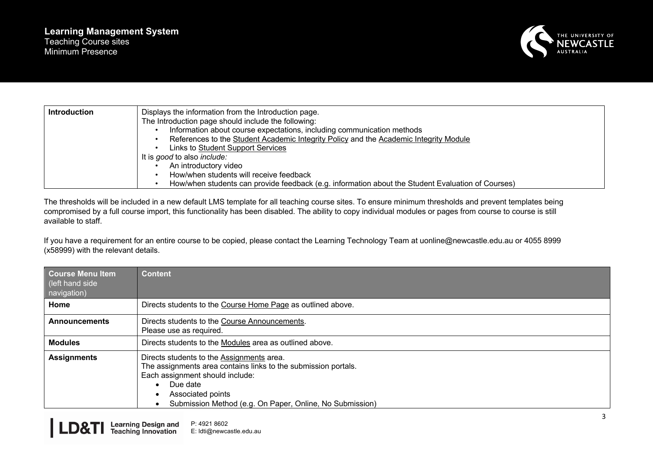

| <b>Introduction</b> | Displays the information from the Introduction page.                                              |
|---------------------|---------------------------------------------------------------------------------------------------|
|                     | The Introduction page should include the following:                                               |
|                     | Information about course expectations, including communication methods                            |
|                     | References to the Student Academic Integrity Policy and the Academic Integrity Module             |
|                     | Links to Student Support Services                                                                 |
|                     | It is good to also include:                                                                       |
|                     | An introductory video                                                                             |
|                     | How/when students will receive feedback                                                           |
|                     | How/when students can provide feedback (e.g. information about the Student Evaluation of Courses) |

The thresholds will be included in a new default LMS template for all teaching course sites. To ensure minimum thresholds and prevent templates being compromised by a full course import, this functionality has been disabled. The ability to copy individual modules or pages from course to course is still available to staff.

If you have a requirement for an entire course to be copied, please contact the Learning Technology Team at uonline@newcastle.edu.au or 4055 8999 (x58999) with the relevant details.

| <b>Course Menu Item</b><br>(left hand side<br>navigation) | <b>Content</b>                                                                                                                                                                                                                              |
|-----------------------------------------------------------|---------------------------------------------------------------------------------------------------------------------------------------------------------------------------------------------------------------------------------------------|
| Home                                                      | Directs students to the Course Home Page as outlined above.                                                                                                                                                                                 |
| <b>Announcements</b>                                      | Directs students to the Course Announcements.<br>Please use as required.                                                                                                                                                                    |
| <b>Modules</b>                                            | Directs students to the Modules area as outlined above.                                                                                                                                                                                     |
| <b>Assignments</b>                                        | Directs students to the Assignments area.<br>The assignments area contains links to the submission portals.<br>Each assignment should include:<br>Due date<br>Associated points<br>Submission Method (e.g. On Paper, Online, No Submission) |

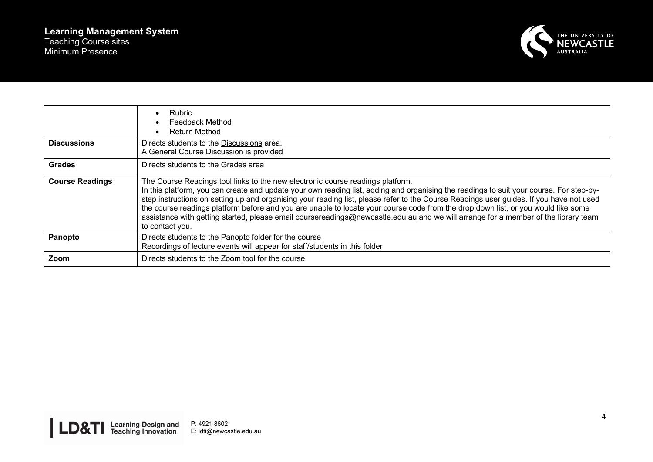

|                        | Rubric<br>Feedback Method<br><b>Return Method</b>                                                                                                                                                                                                                                                                                                                                                                                                                                                                                                                                                                                                                  |
|------------------------|--------------------------------------------------------------------------------------------------------------------------------------------------------------------------------------------------------------------------------------------------------------------------------------------------------------------------------------------------------------------------------------------------------------------------------------------------------------------------------------------------------------------------------------------------------------------------------------------------------------------------------------------------------------------|
| <b>Discussions</b>     | Directs students to the Discussions area.<br>A General Course Discussion is provided                                                                                                                                                                                                                                                                                                                                                                                                                                                                                                                                                                               |
| <b>Grades</b>          | Directs students to the Grades area                                                                                                                                                                                                                                                                                                                                                                                                                                                                                                                                                                                                                                |
| <b>Course Readings</b> | The Course Readings tool links to the new electronic course readings platform.<br>In this platform, you can create and update your own reading list, adding and organising the readings to suit your course. For step-by-<br>step instructions on setting up and organising your reading list, please refer to the Course Readings user guides. If you have not used<br>the course readings platform before and you are unable to locate your course code from the drop down list, or you would like some<br>assistance with getting started, please email coursereadings@newcastle.edu.au and we will arrange for a member of the library team<br>to contact you. |
| Panopto                | Directs students to the Panopto folder for the course<br>Recordings of lecture events will appear for staff/students in this folder                                                                                                                                                                                                                                                                                                                                                                                                                                                                                                                                |
| Zoom                   | Directs students to the Zoom tool for the course                                                                                                                                                                                                                                                                                                                                                                                                                                                                                                                                                                                                                   |